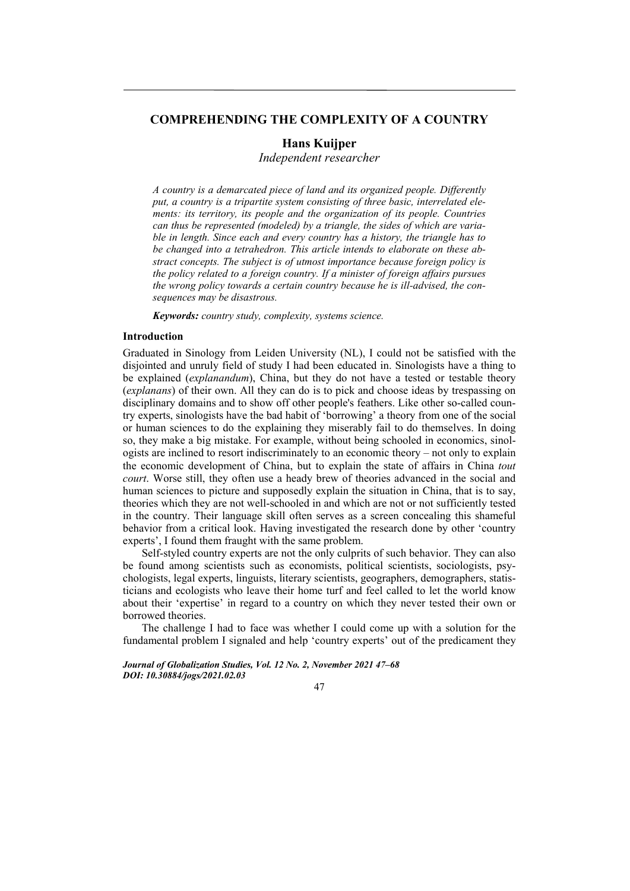# **COMPREHENDING THE COMPLEXITY OF A COUNTRY**

# **Hans Kuijper**

*Independent researcher* 

*A country is a demarcated piece of land and its organized people. Differently put, a country is a tripartite system consisting of three basic, interrelated elements: its territory, its people and the organization of its people. Countries can thus be represented (modeled) by a triangle, the sides of which are variable in length. Since each and every country has a history, the triangle has to be changed into a tetrahedron. This article intends to elaborate on these abstract concepts. The subject is of utmost importance because foreign policy is the policy related to a foreign country. If a minister of foreign affairs pursues the wrong policy towards a certain country because he is ill-advised, the consequences may be disastrous.* 

*Keywords: country study, complexity, systems science.* 

# **Introduction**

Graduated in Sinology from Leiden University (NL), I could not be satisfied with the disjointed and unruly field of study I had been educated in. Sinologists have a thing to be explained (*explanandum*), China, but they do not have a tested or testable theory (*explanans*) of their own. All they can do is to pick and choose ideas by trespassing on disciplinary domains and to show off other people's feathers. Like other so-called country experts, sinologists have the bad habit of 'borrowing' a theory from one of the social or human sciences to do the explaining they miserably fail to do themselves. In doing so, they make a big mistake. For example, without being schooled in economics, sinologists are inclined to resort indiscriminately to an economic theory – not only to explain the economic development of China, but to explain the state of affairs in China *tout court*. Worse still, they often use a heady brew of theories advanced in the social and human sciences to picture and supposedly explain the situation in China, that is to say, theories which they are not well-schooled in and which are not or not sufficiently tested in the country. Their language skill often serves as a screen concealing this shameful behavior from a critical look. Having investigated the research done by other 'country experts', I found them fraught with the same problem.

Self-styled country experts are not the only culprits of such behavior. They can also be found among scientists such as economists, political scientists, sociologists, psychologists, legal experts, linguists, literary scientists, geographers, demographers, statisticians and ecologists who leave their home turf and feel called to let the world know about their 'expertise' in regard to a country on which they never tested their own or borrowed theories.

The challenge I had to face was whether I could come up with a solution for the fundamental problem I signaled and help 'country experts' out of the predicament they

*Journal of Globalization Studies, Vol. 12 No. 2, November 2021 47–68 DOI: 10.30884/jogs/2021.02.03* 

47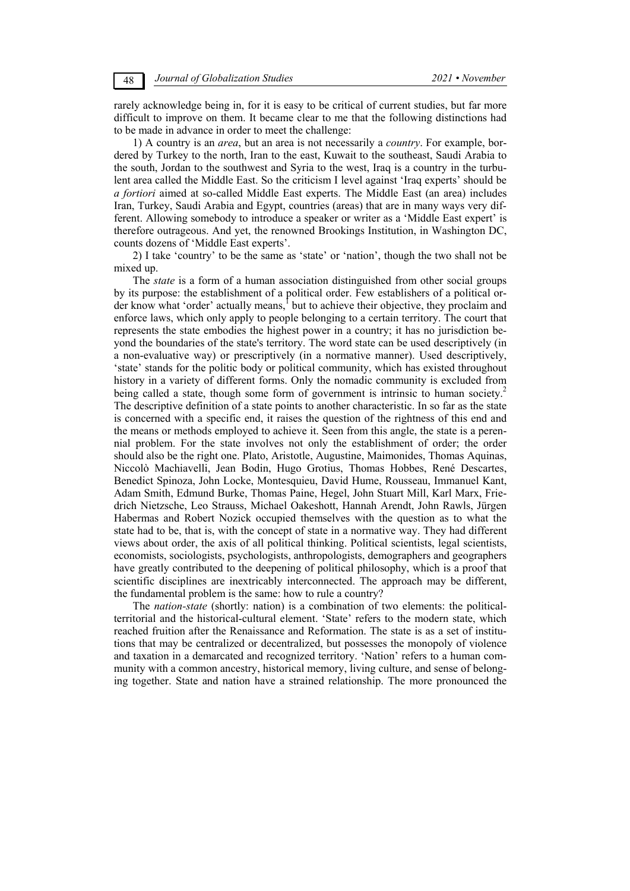rarely acknowledge being in, for it is easy to be critical of current studies, but far more difficult to improve on them. It became clear to me that the following distinctions had to be made in advance in order to meet the challenge:

1) A country is an *area*, but an area is not necessarily a *country*. For example, bordered by Turkey to the north, Iran to the east, Kuwait to the southeast, Saudi Arabia to the south, Jordan to the southwest and Syria to the west, Iraq is a country in the turbulent area called the Middle East. So the criticism I level against 'Iraq experts' should be *a fortiori* aimed at so-called Middle East experts. The Middle East (an area) includes Iran, Turkey, Saudi Arabia and Egypt, countries (areas) that are in many ways very different. Allowing somebody to introduce a speaker or writer as a 'Middle East expert' is therefore outrageous. And yet, the renowned Brookings Institution, in Washington DC, counts dozens of 'Middle East experts'.

2) I take 'country' to be the same as 'state' or 'nation', though the two shall not be mixed up.

The *state* is a form of a human association distinguished from other social groups by its purpose: the establishment of a political order. Few establishers of a political order know what 'order' actually means,<sup>1</sup> but to achieve their objective, they proclaim and enforce laws, which only apply to people belonging to a certain territory. The court that represents the state embodies the highest power in a country; it has no jurisdiction beyond the boundaries of the state's territory. The word state can be used descriptively (in a non-evaluative way) or prescriptively (in a normative manner). Used descriptively, 'state' stands for the politic body or political community, which has existed throughout history in a variety of different forms. Only the nomadic community is excluded from being called a state, though some form of government is intrinsic to human society.<sup>2</sup> The descriptive definition of a state points to another characteristic. In so far as the state is concerned with a specific end, it raises the question of the rightness of this end and the means or methods employed to achieve it. Seen from this angle, the state is a perennial problem. For the state involves not only the establishment of order; the order should also be the right one. Plato, Aristotle, Augustine, Maimonides, Thomas Aquinas, Niccolò Machiavelli, Jean Bodin, Hugo Grotius, Thomas Hobbes, René Descartes, Benedict Spinoza, John Locke, Montesquieu, David Hume, Rousseau, Immanuel Kant, Adam Smith, Edmund Burke, Thomas Paine, Hegel, John Stuart Mill, Karl Marx, Friedrich Nietzsche, Leo Strauss, Michael Oakeshott, Hannah Arendt, John Rawls, Jürgen Habermas and Robert Nozick occupied themselves with the question as to what the state had to be, that is, with the concept of state in a normative way. They had different views about order, the axis of all political thinking. Political scientists, legal scientists, economists, sociologists, psychologists, anthropologists, demographers and geographers have greatly contributed to the deepening of political philosophy, which is a proof that scientific disciplines are inextricably interconnected. The approach may be different, the fundamental problem is the same: how to rule a country?

The *nation-state* (shortly: nation) is a combination of two elements: the politicalterritorial and the historical-cultural element. 'State' refers to the modern state, which reached fruition after the Renaissance and Reformation. The state is as a set of institutions that may be centralized or decentralized, but possesses the monopoly of violence and taxation in a demarcated and recognized territory. 'Nation' refers to a human community with a common ancestry, historical memory, living culture, and sense of belonging together. State and nation have a strained relationship. The more pronounced the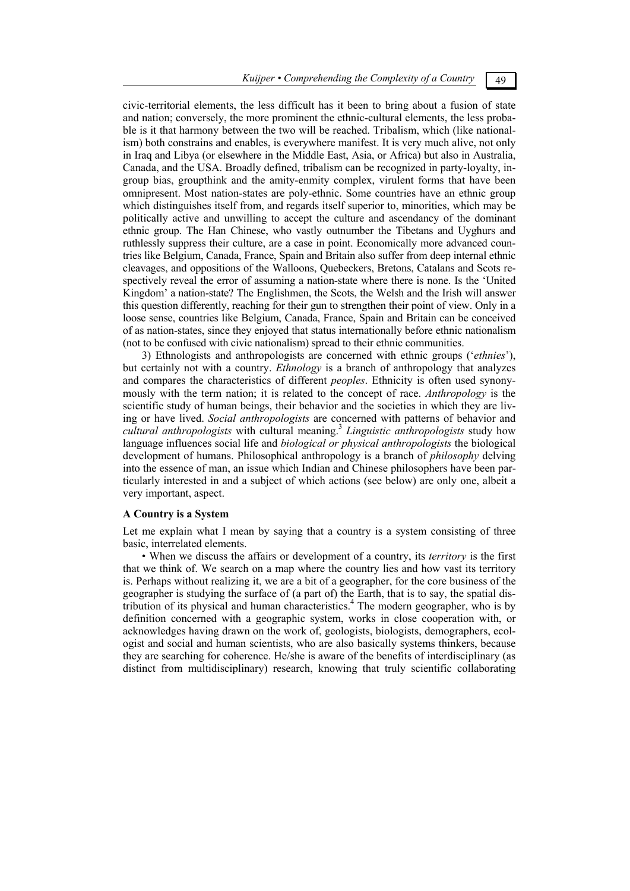civic-territorial elements, the less difficult has it been to bring about a fusion of state and nation; conversely, the more prominent the ethnic-cultural elements, the less probable is it that harmony between the two will be reached. Tribalism, which (like nationalism) both constrains and enables, is everywhere manifest. It is very much alive, not only in Iraq and Libya (or elsewhere in the Middle East, Asia, or Africa) but also in Australia, Canada, and the USA. Broadly defined, tribalism can be recognized in party-loyalty, ingroup bias, groupthink and the amity-enmity complex, virulent forms that have been omnipresent. Most nation-states are poly-ethnic. Some countries have an ethnic group which distinguishes itself from, and regards itself superior to, minorities, which may be politically active and unwilling to accept the culture and ascendancy of the dominant ethnic group. The Han Chinese, who vastly outnumber the Tibetans and Uyghurs and ruthlessly suppress their culture, are a case in point. Economically more advanced countries like Belgium, Canada, France, Spain and Britain also suffer from deep internal ethnic cleavages, and oppositions of the Walloons, Quebeckers, Bretons, Catalans and Scots respectively reveal the error of assuming a nation-state where there is none. Is the 'United Kingdom' a nation-state? The Englishmen, the Scots, the Welsh and the Irish will answer this question differently, reaching for their gun to strengthen their point of view. Only in a loose sense, countries like Belgium, Canada, France, Spain and Britain can be conceived of as nation-states, since they enjoyed that status internationally before ethnic nationalism (not to be confused with civic nationalism) spread to their ethnic communities.

3) Ethnologists and anthropologists are concerned with ethnic groups ('*ethnies*'), but certainly not with a country. *Ethnology* is a branch of anthropology that analyzes and compares the characteristics of different *peoples*. Ethnicity is often used synonymously with the term nation; it is related to the concept of race. *Anthropology* is the scientific study of human beings, their behavior and the societies in which they are living or have lived. *Social anthropologists* are concerned with patterns of behavior and *cultural anthropologists* with cultural meaning.3 *Linguistic anthropologists* study how language influences social life and *biological or physical anthropologists* the biological development of humans. Philosophical anthropology is a branch of *philosophy* delving into the essence of man, an issue which Indian and Chinese philosophers have been particularly interested in and a subject of which actions (see below) are only one, albeit a very important, aspect.

# **A Country is a System**

Let me explain what I mean by saying that a country is a system consisting of three basic, interrelated elements.

• When we discuss the affairs or development of a country, its *territory* is the first that we think of. We search on a map where the country lies and how vast its territory is. Perhaps without realizing it, we are a bit of a geographer, for the core business of the geographer is studying the surface of (a part of) the Earth, that is to say, the spatial distribution of its physical and human characteristics.4 The modern geographer, who is by definition concerned with a geographic system, works in close cooperation with, or acknowledges having drawn on the work of, geologists, biologists, demographers, ecologist and social and human scientists, who are also basically systems thinkers, because they are searching for coherence. He/she is aware of the benefits of interdisciplinary (as distinct from multidisciplinary) research, knowing that truly scientific collaborating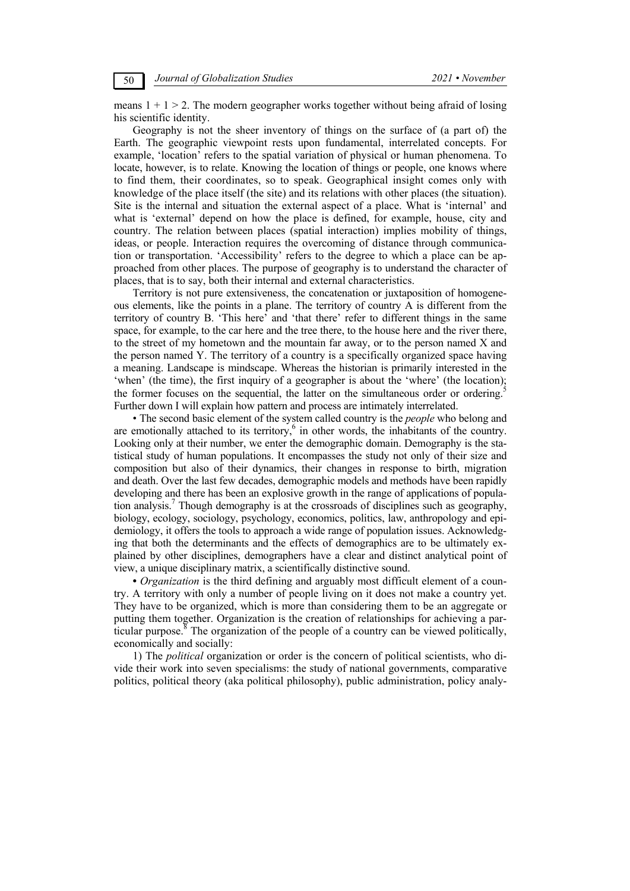means  $1 + 1 > 2$ . The modern geographer works together without being afraid of losing his scientific identity.

Geography is not the sheer inventory of things on the surface of (a part of) the Earth. The geographic viewpoint rests upon fundamental, interrelated concepts. For example, 'location' refers to the spatial variation of physical or human phenomena. To locate, however, is to relate. Knowing the location of things or people, one knows where to find them, their coordinates, so to speak. Geographical insight comes only with knowledge of the place itself (the site) and its relations with other places (the situation). Site is the internal and situation the external aspect of a place. What is 'internal' and what is 'external' depend on how the place is defined, for example, house, city and country. The relation between places (spatial interaction) implies mobility of things, ideas, or people. Interaction requires the overcoming of distance through communication or transportation. 'Accessibility' refers to the degree to which a place can be approached from other places. The purpose of geography is to understand the character of places, that is to say, both their internal and external characteristics.

Territory is not pure extensiveness, the concatenation or juxtaposition of homogeneous elements, like the points in a plane. The territory of country A is different from the territory of country B. 'This here' and 'that there' refer to different things in the same space, for example, to the car here and the tree there, to the house here and the river there, to the street of my hometown and the mountain far away, or to the person named X and the person named Y. The territory of a country is a specifically organized space having a meaning. Landscape is mindscape. Whereas the historian is primarily interested in the 'when' (the time), the first inquiry of a geographer is about the 'where' (the location); the former focuses on the sequential, the latter on the simultaneous order or ordering.<sup>5</sup> Further down I will explain how pattern and process are intimately interrelated.

• The second basic element of the system called country is the *people* who belong and are emotionally attached to its territory,<sup>6</sup> in other words, the inhabitants of the country. Looking only at their number, we enter the demographic domain. Demography is the statistical study of human populations. It encompasses the study not only of their size and composition but also of their dynamics, their changes in response to birth, migration and death. Over the last few decades, demographic models and methods have been rapidly developing and there has been an explosive growth in the range of applications of population analysis.<sup>7</sup> Though demography is at the crossroads of disciplines such as geography, biology, ecology, sociology, psychology, economics, politics, law, anthropology and epidemiology, it offers the tools to approach a wide range of population issues. Acknowledging that both the determinants and the effects of demographics are to be ultimately explained by other disciplines, demographers have a clear and distinct analytical point of view, a unique disciplinary matrix, a scientifically distinctive sound.

**•** *Organization* is the third defining and arguably most difficult element of a country. A territory with only a number of people living on it does not make a country yet. They have to be organized, which is more than considering them to be an aggregate or putting them together. Organization is the creation of relationships for achieving a particular purpose.<sup>8</sup> The organization of the people of a country can be viewed politically, economically and socially:

1) The *political* organization or order is the concern of political scientists, who divide their work into seven specialisms: the study of national governments, comparative politics, political theory (aka political philosophy), public administration, policy analy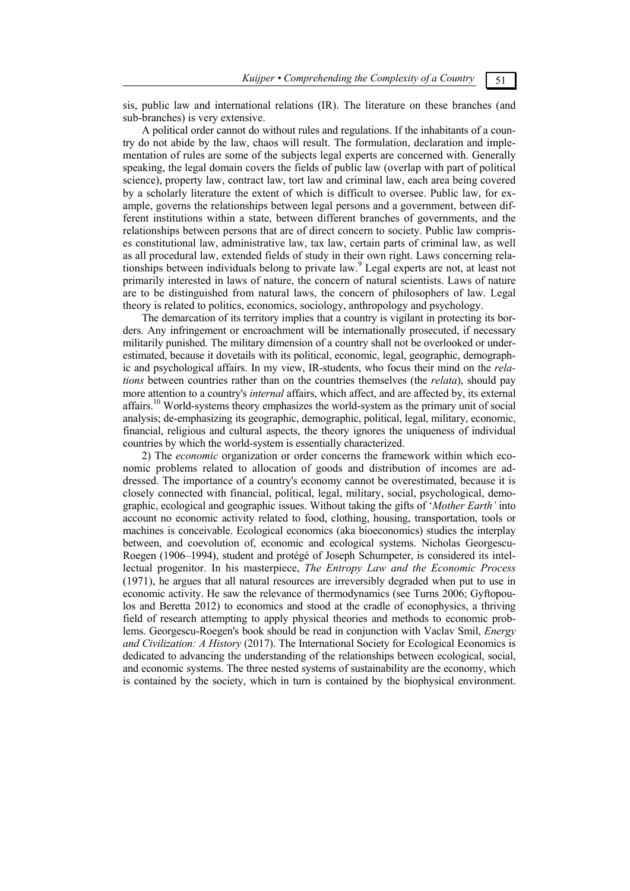sis, public law and international relations (IR). The literature on these branches (and sub-branches) is very extensive.

A political order cannot do without rules and regulations. If the inhabitants of a country do not abide by the law, chaos will result. The formulation, declaration and implementation of rules are some of the subjects legal experts are concerned with. Generally speaking, the legal domain covers the fields of public law (overlap with part of political science), property law, contract law, tort law and criminal law, each area being covered by a scholarly literature the extent of which is difficult to oversee. Public law, for example, governs the relationships between legal persons and a government, between different institutions within a state, between different branches of governments, and the relationships between persons that are of direct concern to society. Public law comprises constitutional law, administrative law, tax law, certain parts of criminal law, as well as all procedural law, extended fields of study in their own right. Laws concerning relationships between individuals belong to private law.9 Legal experts are not, at least not primarily interested in laws of nature, the concern of natural scientists. Laws of nature are to be distinguished from natural laws, the concern of philosophers of law. Legal theory is related to politics, economics, sociology, anthropology and psychology.

The demarcation of its territory implies that a country is vigilant in protecting its borders. Any infringement or encroachment will be internationally prosecuted, if necessary militarily punished. The military dimension of a country shall not be overlooked or underestimated, because it dovetails with its political, economic, legal, geographic, demographic and psychological affairs. In my view, IR-students, who focus their mind on the *relations* between countries rather than on the countries themselves (the *relata*), should pay more attention to a country's *internal* affairs, which affect, and are affected by, its external affairs.<sup>10</sup> World-systems theory emphasizes the world-system as the primary unit of social analysis; de-emphasizing its geographic, demographic, political, legal, military, economic, financial, religious and cultural aspects, the theory ignores the uniqueness of individual countries by which the world-system is essentially characterized.

2) The *economic* organization or order concerns the framework within which economic problems related to allocation of goods and distribution of incomes are addressed. The importance of a country's economy cannot be overestimated, because it is closely connected with financial, political, legal, military, social, psychological, demographic, ecological and geographic issues. Without taking the gifts of '*Mother Earth'* into account no economic activity related to food, clothing, housing, transportation, tools or machines is conceivable. Ecological economics (aka bioeconomics) studies the interplay between, and coevolution of, economic and ecological systems. Nicholas Georgescu-Roegen (1906–1994), student and protégé of Joseph Schumpeter, is considered its intellectual progenitor. In his masterpiece, *The Entropy Law and the Economic Process* (1971), he argues that all natural resources are irreversibly degraded when put to use in economic activity. He saw the relevance of thermodynamics (see Turns 2006; Gyftopoulos and Beretta 2012) to economics and stood at the cradle of econophysics, a thriving field of research attempting to apply physical theories and methods to economic problems. Georgescu-Roegen's book should be read in conjunction with Vaclav Smil, *Energy and Civilization: A History* (2017). The International Society for Ecological Economics is dedicated to advancing the understanding of the relationships between ecological, social, and economic systems. The three nested systems of sustainability are the economy, which is contained by the society, which in turn is contained by the biophysical environment.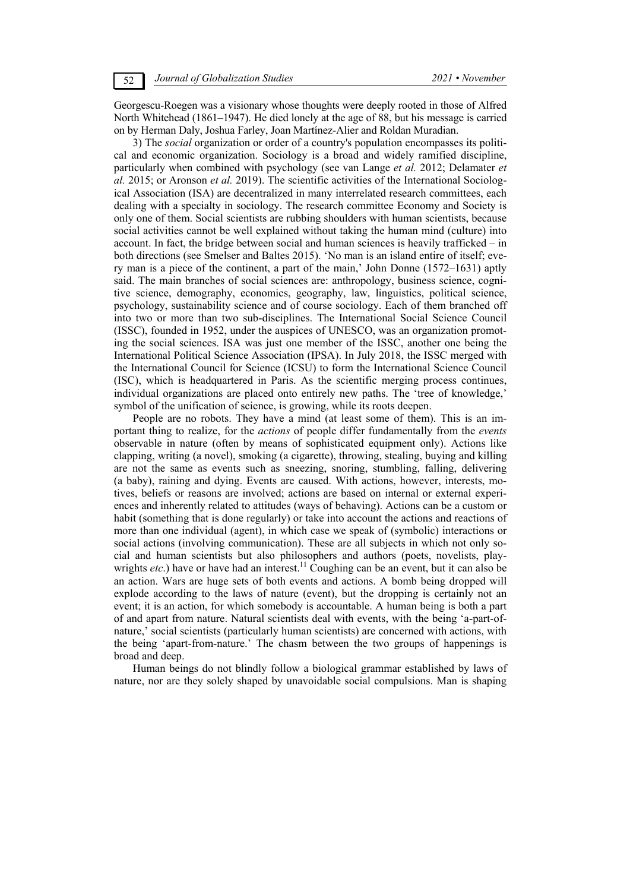Georgescu-Roegen was a visionary whose thoughts were deeply rooted in those of Alfred North Whitehead (1861–1947). He died lonely at the age of 88, but his message is carried on by Herman Daly, Joshua Farley, Joan Martínez-Alier and Roldan Muradian.

3) The *social* organization or order of a country's population encompasses its political and economic organization. Sociology is a broad and widely ramified discipline, particularly when combined with psychology (see van Lange *et al.* 2012; Delamater *et al.* 2015; or Aronson *et al.* 2019). The scientific activities of the International Sociological Association (ISA) are decentralized in many interrelated research committees, each dealing with a specialty in sociology. The research committee Economy and Society is only one of them. Social scientists are rubbing shoulders with human scientists, because social activities cannot be well explained without taking the human mind (culture) into account. In fact, the bridge between social and human sciences is heavily trafficked – in both directions (see Smelser and Baltes 2015). 'No man is an island entire of itself; every man is a piece of the continent, a part of the main,' John Donne (1572–1631) aptly said. The main branches of social sciences are: anthropology, business science, cognitive science, demography, economics, geography, law, linguistics, political science, psychology, sustainability science and of course sociology. Each of them branched off into two or more than two sub-disciplines. The International Social Science Council (ISSC), founded in 1952, under the auspices of UNESCO, was an organization promoting the social sciences. ISA was just one member of the ISSC, another one being the International Political Science Association (IPSA). In July 2018, the ISSC merged with the International Council for Science (ICSU) to form the International Science Council (ISC), which is headquartered in Paris. As the scientific merging process continues, individual organizations are placed onto entirely new paths. The 'tree of knowledge,' symbol of the unification of science, is growing, while its roots deepen.

People are no robots. They have a mind (at least some of them). This is an important thing to realize, for the *actions* of people differ fundamentally from the *events*  observable in nature (often by means of sophisticated equipment only). Actions like clapping, writing (a novel), smoking (a cigarette), throwing, stealing, buying and killing are not the same as events such as sneezing, snoring, stumbling, falling, delivering (a baby), raining and dying. Events are caused. With actions, however, interests, motives, beliefs or reasons are involved; actions are based on internal or external experiences and inherently related to attitudes (ways of behaving). Actions can be a custom or habit (something that is done regularly) or take into account the actions and reactions of more than one individual (agent), in which case we speak of (symbolic) interactions or social actions (involving communication). These are all subjects in which not only social and human scientists but also philosophers and authors (poets, novelists, playwrights *etc*.) have or have had an interest.<sup>11</sup> Coughing can be an event, but it can also be an action. Wars are huge sets of both events and actions. A bomb being dropped will explode according to the laws of nature (event), but the dropping is certainly not an event; it is an action, for which somebody is accountable. A human being is both a part of and apart from nature. Natural scientists deal with events, with the being 'a-part-ofnature,' social scientists (particularly human scientists) are concerned with actions, with the being 'apart-from-nature.' The chasm between the two groups of happenings is broad and deep.

Human beings do not blindly follow a biological grammar established by laws of nature, nor are they solely shaped by unavoidable social compulsions. Man is shaping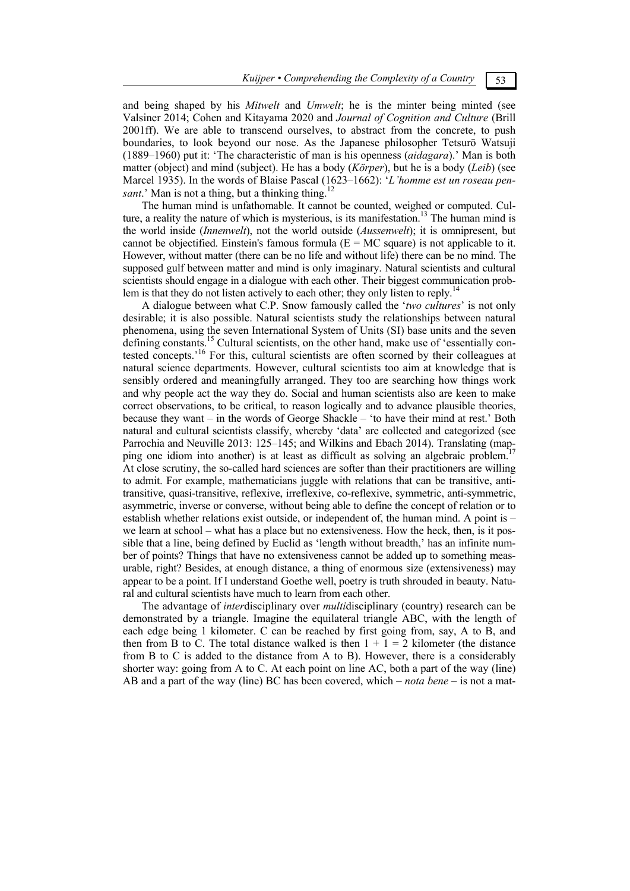and being shaped by his *Mitwelt* and *Umwelt*; he is the minter being minted (see Valsiner 2014; Cohen and Kitayama 2020 and *Journal of Cognition and Culture* (Brill 2001ff). We are able to transcend ourselves, to abstract from the concrete, to push boundaries, to look beyond our nose. As the Japanese philosopher Tetsurō Watsuji (1889–1960) put it: 'The characteristic of man is his openness (*aidagara*).' Man is both matter (object) and mind (subject). He has a body (*Körper*), but he is a body (*Leib*) (see Marcel 1935). In the words of Blaise Pascal (1623–1662): '*L'homme est un roseau pensant.*' Man is not a thing, but a thinking thing.<sup>12</sup>

The human mind is unfathomable. It cannot be counted, weighed or computed. Culture, a reality the nature of which is mysterious, is its manifestation.<sup>13</sup> The human mind is the world inside (*Innenwelt*), not the world outside (*Aussenwelt*); it is omnipresent, but cannot be objectified. Einstein's famous formula  $(E = MC)$  square) is not applicable to it. However, without matter (there can be no life and without life) there can be no mind. The supposed gulf between matter and mind is only imaginary. Natural scientists and cultural scientists should engage in a dialogue with each other. Their biggest communication problem is that they do not listen actively to each other; they only listen to reply.<sup>14</sup>

A dialogue between what C.P. Snow famously called the '*two cultures*' is not only desirable; it is also possible. Natural scientists study the relationships between natural phenomena, using the seven International System of Units (SI) base units and the seven defining constants.<sup>15</sup> Cultural scientists, on the other hand, make use of 'essentially contested concepts.<sup>16</sup> For this, cultural scientists are often scorned by their colleagues at natural science departments. However, cultural scientists too aim at knowledge that is sensibly ordered and meaningfully arranged. They too are searching how things work and why people act the way they do. Social and human scientists also are keen to make correct observations, to be critical, to reason logically and to advance plausible theories, because they want – in the words of George Shackle – 'to have their mind at rest.' Both natural and cultural scientists classify, whereby 'data' are collected and categorized (see Parrochia and Neuville 2013: 125–145; and Wilkins and Ebach 2014). Translating (mapping one idiom into another) is at least as difficult as solving an algebraic problem. At close scrutiny, the so-called hard sciences are softer than their practitioners are willing to admit. For example, mathematicians juggle with relations that can be transitive, antitransitive, quasi-transitive, reflexive, irreflexive, co-reflexive, symmetric, anti-symmetric, asymmetric, inverse or converse, without being able to define the concept of relation or to establish whether relations exist outside, or independent of, the human mind. A point is – we learn at school – what has a place but no extensiveness. How the heck, then, is it possible that a line, being defined by Euclid as 'length without breadth,' has an infinite number of points? Things that have no extensiveness cannot be added up to something measurable, right? Besides, at enough distance, a thing of enormous size (extensiveness) may appear to be a point. If I understand Goethe well, poetry is truth shrouded in beauty. Natural and cultural scientists have much to learn from each other.

The advantage of *inter*disciplinary over *multi*disciplinary (country) research can be demonstrated by a triangle. Imagine the equilateral triangle ABC, with the length of each edge being 1 kilometer. C can be reached by first going from, say, A to B, and then from B to C. The total distance walked is then  $1 + 1 = 2$  kilometer (the distance from B to C is added to the distance from A to B). However, there is a considerably shorter way: going from A to C. At each point on line AC, both a part of the way (line) AB and a part of the way (line) BC has been covered, which – *nota bene* – is not a mat-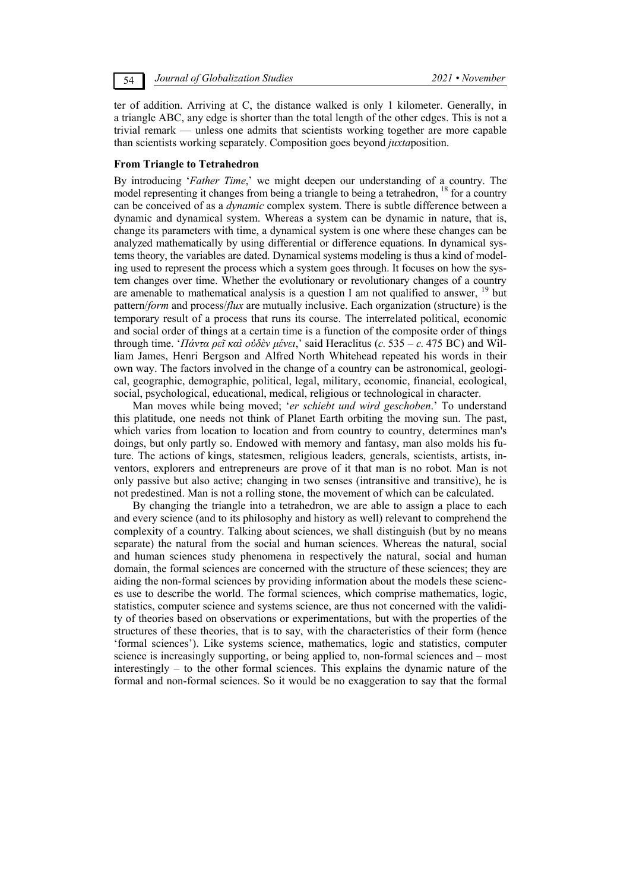54 *Journal of Globalization Studies 2021 • November* 

ter of addition. Arriving at C, the distance walked is only 1 kilometer. Generally, in a triangle ABC, any edge is shorter than the total length of the other edges. This is not a trivial remark — unless one admits that scientists working together are more capable than scientists working separately. Composition goes beyond *juxta*position.

#### **From Triangle to Tetrahedron**

By introducing '*Father Time*,' we might deepen our understanding of a country. The model representing it changes from being a triangle to being a tetrahedron, <sup>18</sup> for a country can be conceived of as a *dynamic* complex system. There is subtle difference between a dynamic and dynamical system. Whereas a system can be dynamic in nature, that is, change its parameters with time, a dynamical system is one where these changes can be analyzed mathematically by using differential or difference equations. In dynamical systems theory, the variables are dated. Dynamical systems modeling is thus a kind of modeling used to represent the process which a system goes through. It focuses on how the system changes over time. Whether the evolutionary or revolutionary changes of a country are amenable to mathematical analysis is a question I am not qualified to answer,  $19$  but pattern/*form* and process/*flux* are mutually inclusive. Each organization (structure) is the temporary result of a process that runs its course. The interrelated political, economic and social order of things at a certain time is a function of the composite order of things through time. '*Πάντα ρεῖ καὶ οὐδὲν μένει*,' said Heraclitus (*c.* 535 – *c.* 475 BC) and William James, Henri Bergson and Alfred North Whitehead repeated his words in their own way. The factors involved in the change of a country can be astronomical, geological, geographic, demographic, political, legal, military, economic, financial, ecological, social, psychological, educational, medical, religious or technological in character.

Man moves while being moved; '*er schiebt und wird geschoben*.' To understand this platitude, one needs not think of Planet Earth orbiting the moving sun. The past, which varies from location to location and from country to country, determines man's doings, but only partly so. Endowed with memory and fantasy, man also molds his future. The actions of kings, statesmen, religious leaders, generals, scientists, artists, inventors, explorers and entrepreneurs are prove of it that man is no robot. Man is not only passive but also active; changing in two senses (intransitive and transitive), he is not predestined. Man is not a rolling stone, the movement of which can be calculated.

By changing the triangle into a tetrahedron, we are able to assign a place to each and every science (and to its philosophy and history as well) relevant to comprehend the complexity of a country. Talking about sciences, we shall distinguish (but by no means separate) the natural from the social and human sciences. Whereas the natural, social and human sciences study phenomena in respectively the natural, social and human domain, the formal sciences are concerned with the structure of these sciences; they are aiding the non-formal sciences by providing information about the models these sciences use to describe the world. The formal sciences, which comprise mathematics, logic, statistics, computer science and systems science, are thus not concerned with the validity of theories based on observations or experimentations, but with the properties of the structures of these theories, that is to say, with the characteristics of their form (hence 'formal sciences'). Like systems science, mathematics, logic and statistics, computer science is increasingly supporting, or being applied to, non-formal sciences and – most interestingly – to the other formal sciences. This explains the dynamic nature of the formal and non-formal sciences. So it would be no exaggeration to say that the formal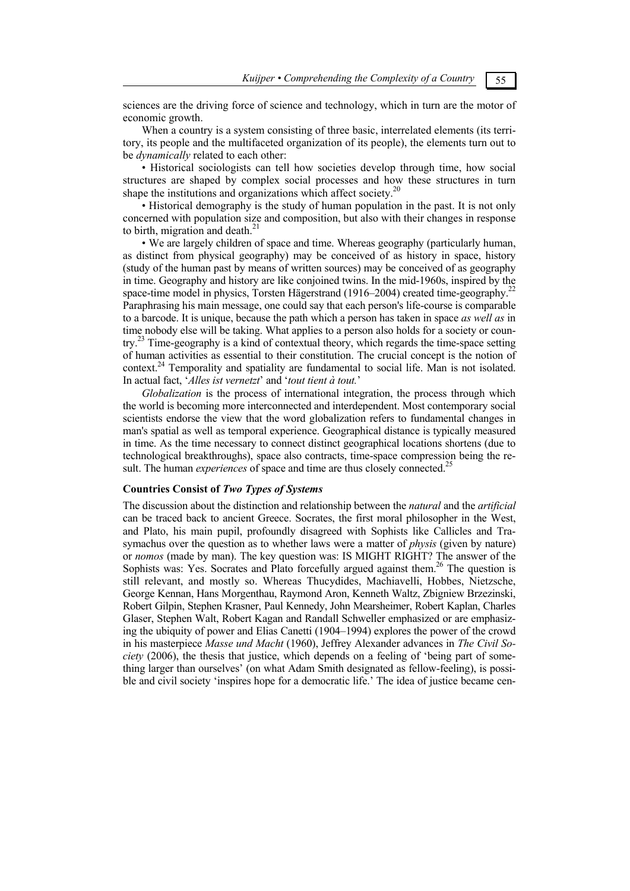sciences are the driving force of science and technology, which in turn are the motor of economic growth.

When a country is a system consisting of three basic, interrelated elements (its territory, its people and the multifaceted organization of its people), the elements turn out to be *dynamically* related to each other:

• Historical sociologists can tell how societies develop through time, how social structures are shaped by complex social processes and how these structures in turn shape the institutions and organizations which affect society.<sup>20</sup>

• Historical demography is the study of human population in the past. It is not only concerned with population size and composition, but also with their changes in response to birth, migration and death.<sup>21</sup>

• We are largely children of space and time. Whereas geography (particularly human, as distinct from physical geography) may be conceived of as history in space, history (study of the human past by means of written sources) may be conceived of as geography in time. Geography and history are like conjoined twins. In the mid-1960s, inspired by the space-time model in physics, Torsten Hägerstrand (1916–2004) created time-geography.<sup>22</sup> Paraphrasing his main message, one could say that each person's life-course is comparable to a barcode. It is unique, because the path which a person has taken in space *as well as* in time nobody else will be taking. What applies to a person also holds for a society or country.23 Time-geography is a kind of contextual theory, which regards the time-space setting of human activities as essential to their constitution. The crucial concept is the notion of context.<sup>24</sup> Temporality and spatiality are fundamental to social life. Man is not isolated. In actual fact, '*Alles ist vernetzt*' and '*tout tient à tout.*'

*Globalization* is the process of international integration, the process through which the world is becoming more interconnected and interdependent. Most contemporary social scientists endorse the view that the word globalization refers to fundamental changes in man's spatial as well as temporal experience. Geographical distance is typically measured in time. As the time necessary to connect distinct geographical locations shortens (due to technological breakthroughs), space also contracts, time-space compression being the result. The human *experiences* of space and time are thus closely connected.<sup>25</sup>

## **Countries Consist of** *Two Types of Systems*

The discussion about the distinction and relationship between the *natural* and the *artificial*  can be traced back to ancient Greece. Socrates, the first moral philosopher in the West, and Plato, his main pupil, profoundly disagreed with Sophists like Callicles and Trasymachus over the question as to whether laws were a matter of *physis* (given by nature) or *nomos* (made by man). The key question was: IS MIGHT RIGHT? The answer of the Sophists was: Yes. Socrates and Plato forcefully argued against them.<sup>26</sup> The question is still relevant, and mostly so. Whereas Thucydides, Machiavelli, Hobbes, Nietzsche, George Kennan, Hans Morgenthau, Raymond Aron, Kenneth Waltz, Zbigniew Brzezinski, Robert Gilpin, Stephen Krasner, Paul Kennedy, John Mearsheimer, Robert Kaplan, Charles Glaser, Stephen Walt, Robert Kagan and Randall Schweller emphasized or are emphasizing the ubiquity of power and Elias Canetti (1904–1994) explores the power of the crowd in his masterpiece *Masse und Macht* (1960), Jeffrey Alexander advances in *The Civil Society* (2006), the thesis that justice, which depends on a feeling of 'being part of something larger than ourselves' (on what Adam Smith designated as fellow-feeling), is possible and civil society 'inspires hope for a democratic life.' The idea of justice became cen-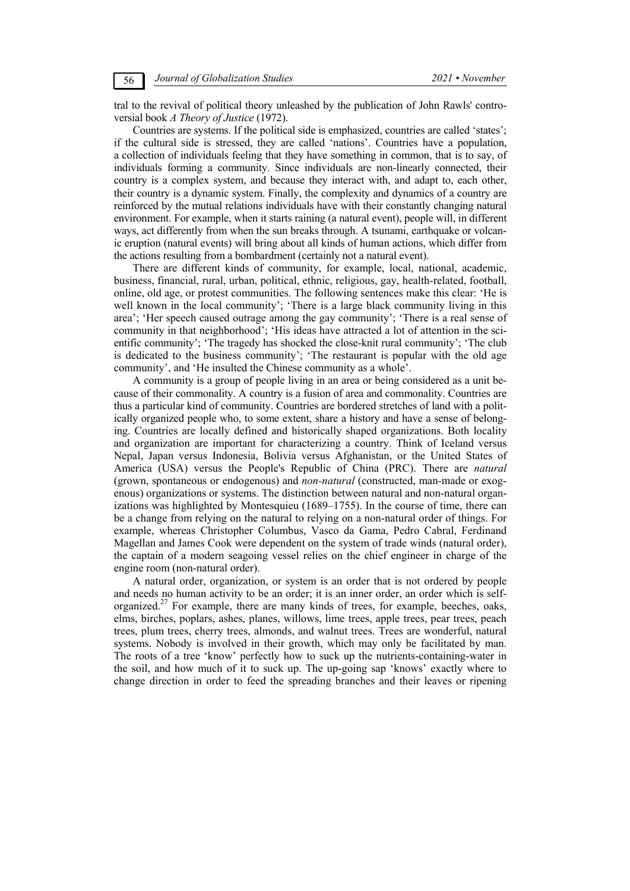tral to the revival of political theory unleashed by the publication of John Rawls' controversial book *A Theory of Justice* (1972).

Countries are systems. If the political side is emphasized, countries are called 'states'; if the cultural side is stressed, they are called 'nations'. Countries have a population, a collection of individuals feeling that they have something in common, that is to say, of individuals forming a community. Since individuals are non-linearly connected, their country is a complex system, and because they interact with, and adapt to, each other, their country is a dynamic system. Finally, the complexity and dynamics of a country are reinforced by the mutual relations individuals have with their constantly changing natural environment. For example, when it starts raining (a natural event), people will, in different ways, act differently from when the sun breaks through. A tsunami, earthquake or volcanic eruption (natural events) will bring about all kinds of human actions, which differ from the actions resulting from a bombardment (certainly not a natural event).

There are different kinds of community, for example, local, national, academic, business, financial, rural, urban, political, ethnic, religious, gay, health-related, football, online, old age, or protest communities. The following sentences make this clear: 'He is well known in the local community'; 'There is a large black community living in this area'; 'Her speech caused outrage among the gay community'; 'There is a real sense of community in that neighborhood'; 'His ideas have attracted a lot of attention in the scientific community'; 'The tragedy has shocked the close-knit rural community'; 'The club is dedicated to the business community'; 'The restaurant is popular with the old age community', and 'He insulted the Chinese community as a whole'.

A community is a group of people living in an area or being considered as a unit because of their commonality. A country is a fusion of area and commonality. Countries are thus a particular kind of community. Countries are bordered stretches of land with a politically organized people who, to some extent, share a history and have a sense of belonging. Countries are locally defined and historically shaped organizations. Both locality and organization are important for characterizing a country. Think of Iceland versus Nepal, Japan versus Indonesia, Bolivia versus Afghanistan, or the United States of America (USA) versus the People's Republic of China (PRC). There are *natural*  (grown, spontaneous or endogenous) and *non-natural* (constructed, man-made or exogenous) organizations or systems. The distinction between natural and non-natural organizations was highlighted by Montesquieu (1689–1755). In the course of time, there can be a change from relying on the natural to relying on a non-natural order of things. For example, whereas Christopher Columbus, Vasco da Gama, Pedro Cabral, Ferdinand Magellan and James Cook were dependent on the system of trade winds (natural order), the captain of a modern seagoing vessel relies on the chief engineer in charge of the engine room (non-natural order).

A natural order, organization, or system is an order that is not ordered by people and needs no human activity to be an order; it is an inner order, an order which is selforganized.<sup>27</sup> For example, there are many kinds of trees, for example, beeches, oaks, elms, birches, poplars, ashes, planes, willows, lime trees, apple trees, pear trees, peach trees, plum trees, cherry trees, almonds, and walnut trees. Trees are wonderful, natural systems. Nobody is involved in their growth, which may only be facilitated by man. The roots of a tree 'know' perfectly how to suck up the nutrients-containing-water in the soil, and how much of it to suck up. The up-going sap 'knows' exactly where to change direction in order to feed the spreading branches and their leaves or ripening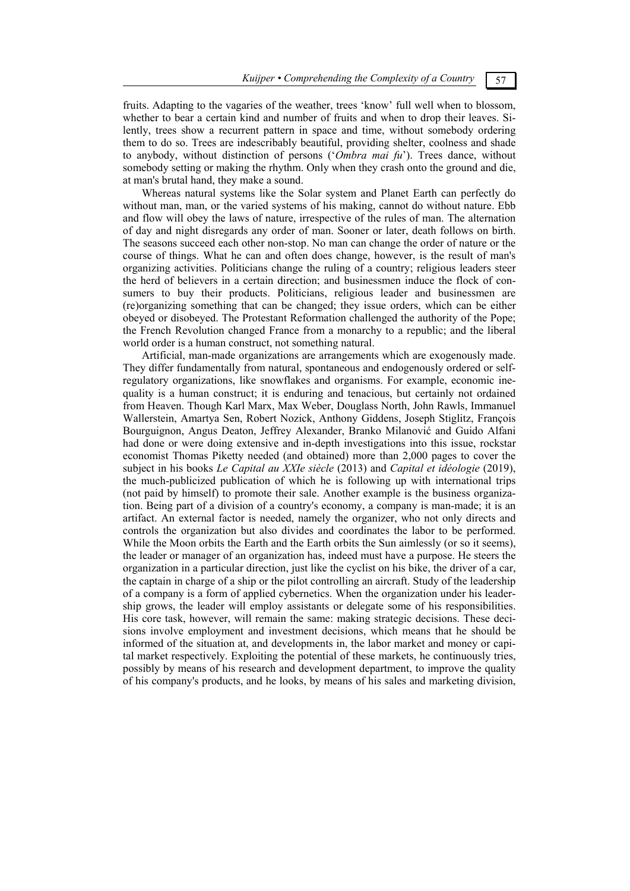fruits. Adapting to the vagaries of the weather, trees 'know' full well when to blossom, whether to bear a certain kind and number of fruits and when to drop their leaves. Silently, trees show a recurrent pattern in space and time, without somebody ordering them to do so. Trees are indescribably beautiful, providing shelter, coolness and shade to anybody, without distinction of persons ('*Ombra mai fu*'). Trees dance, without somebody setting or making the rhythm. Only when they crash onto the ground and die, at man's brutal hand, they make a sound.

Whereas natural systems like the Solar system and Planet Earth can perfectly do without man, man, or the varied systems of his making, cannot do without nature. Ebb and flow will obey the laws of nature, irrespective of the rules of man. The alternation of day and night disregards any order of man. Sooner or later, death follows on birth. The seasons succeed each other non-stop. No man can change the order of nature or the course of things. What he can and often does change, however, is the result of man's organizing activities. Politicians change the ruling of a country; religious leaders steer the herd of believers in a certain direction; and businessmen induce the flock of consumers to buy their products. Politicians, religious leader and businessmen are (re)organizing something that can be changed; they issue orders, which can be either obeyed or disobeyed. The Protestant Reformation challenged the authority of the Pope; the French Revolution changed France from a monarchy to a republic; and the liberal world order is a human construct, not something natural.

Artificial, man-made organizations are arrangements which are exogenously made. They differ fundamentally from natural, spontaneous and endogenously ordered or selfregulatory organizations, like snowflakes and organisms. For example, economic inequality is a human construct; it is enduring and tenacious, but certainly not ordained from Heaven. Though Karl Marx, Max Weber, Douglass North, John Rawls, Immanuel Wallerstein, Amartya Sen, Robert Nozick, Anthony Giddens, Joseph Stiglitz, François Bourguignon, Angus Deaton, Jeffrey Alexander, Branko Milanović and Guido Alfani had done or were doing extensive and in-depth investigations into this issue, rockstar economist Thomas Piketty needed (and obtained) more than 2,000 pages to cover the subject in his books *Le Capital au XXIe siècle* (2013) and *Capital et idéologie* (2019), the much-publicized publication of which he is following up with international trips (not paid by himself) to promote their sale. Another example is the business organization. Being part of a division of a country's economy, a company is man-made; it is an artifact. An external factor is needed, namely the organizer, who not only directs and controls the organization but also divides and coordinates the labor to be performed. While the Moon orbits the Earth and the Earth orbits the Sun aimlessly (or so it seems). the leader or manager of an organization has, indeed must have a purpose. He steers the organization in a particular direction, just like the cyclist on his bike, the driver of a car, the captain in charge of a ship or the pilot controlling an aircraft. Study of the leadership of a company is a form of applied cybernetics. When the organization under his leadership grows, the leader will employ assistants or delegate some of his responsibilities. His core task, however, will remain the same: making strategic decisions. These decisions involve employment and investment decisions, which means that he should be informed of the situation at, and developments in, the labor market and money or capital market respectively. Exploiting the potential of these markets, he continuously tries, possibly by means of his research and development department, to improve the quality of his company's products, and he looks, by means of his sales and marketing division,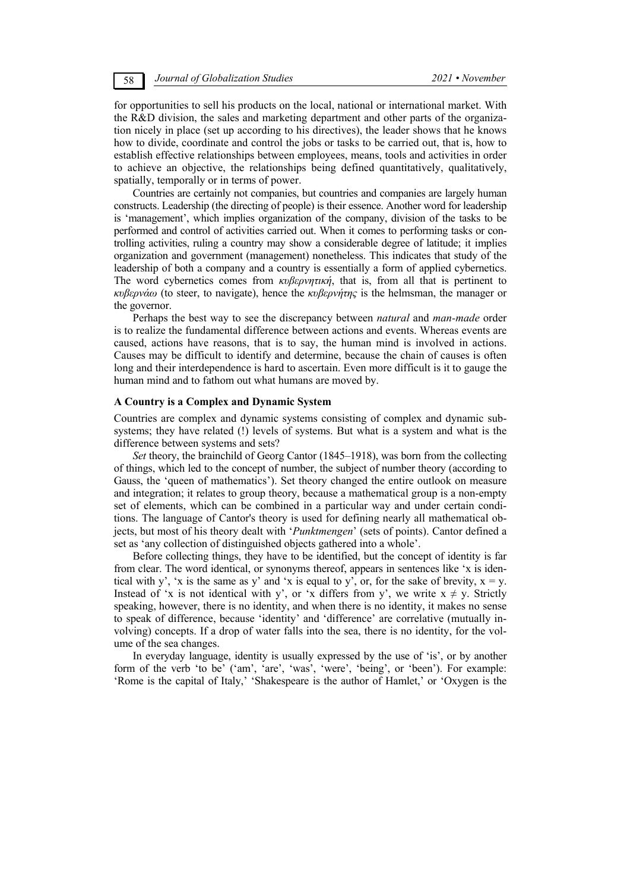for opportunities to sell his products on the local, national or international market. With the R&D division, the sales and marketing department and other parts of the organization nicely in place (set up according to his directives), the leader shows that he knows how to divide, coordinate and control the jobs or tasks to be carried out, that is, how to establish effective relationships between employees, means, tools and activities in order to achieve an objective, the relationships being defined quantitatively, qualitatively, spatially, temporally or in terms of power.

Countries are certainly not companies, but countries and companies are largely human constructs. Leadership (the directing of people) is their essence. Another word for leadership is 'management', which implies organization of the company, division of the tasks to be performed and control of activities carried out. When it comes to performing tasks or controlling activities, ruling a country may show a considerable degree of latitude; it implies organization and government (management) nonetheless. This indicates that study of the leadership of both a company and a country is essentially a form of applied cybernetics. The word cybernetics comes from *κυβερνητική*, that is, from all that is pertinent to *κυβερνάω* (to steer, to navigate), hence the *κυβερνήτης* is the helmsman, the manager or the governor.

Perhaps the best way to see the discrepancy between *natural* and *man-made* order is to realize the fundamental difference between actions and events. Whereas events are caused, actions have reasons, that is to say, the human mind is involved in actions. Causes may be difficult to identify and determine, because the chain of causes is often long and their interdependence is hard to ascertain. Even more difficult is it to gauge the human mind and to fathom out what humans are moved by.

## **A Country is a Complex and Dynamic System**

Countries are complex and dynamic systems consisting of complex and dynamic subsystems; they have related (!) levels of systems. But what is a system and what is the difference between systems and sets?

*Set* theory, the brainchild of Georg Cantor (1845–1918), was born from the collecting of things, which led to the concept of number, the subject of number theory (according to Gauss, the 'queen of mathematics'). Set theory changed the entire outlook on measure and integration; it relates to group theory, because a mathematical group is a non-empty set of elements, which can be combined in a particular way and under certain conditions. The language of Cantor's theory is used for defining nearly all mathematical objects, but most of his theory dealt with '*Punktmengen*' (sets of points). Cantor defined a set as 'any collection of distinguished objects gathered into a whole'.

Before collecting things, they have to be identified, but the concept of identity is far from clear. The word identical, or synonyms thereof, appears in sentences like 'x is identical with y', 'x is the same as y' and 'x is equal to y', or, for the sake of brevity,  $x = y$ . Instead of 'x is not identical with y', or 'x differs from y', we write  $x \neq y$ . Strictly speaking, however, there is no identity, and when there is no identity, it makes no sense to speak of difference, because 'identity' and 'difference' are correlative (mutually involving) concepts. If a drop of water falls into the sea, there is no identity, for the volume of the sea changes.

In everyday language, identity is usually expressed by the use of 'is', or by another form of the verb 'to be' ('am', 'are', 'was', 'were', 'being', or 'been'). For example: 'Rome is the capital of Italy,' 'Shakespeare is the author of Hamlet,' or 'Oxygen is the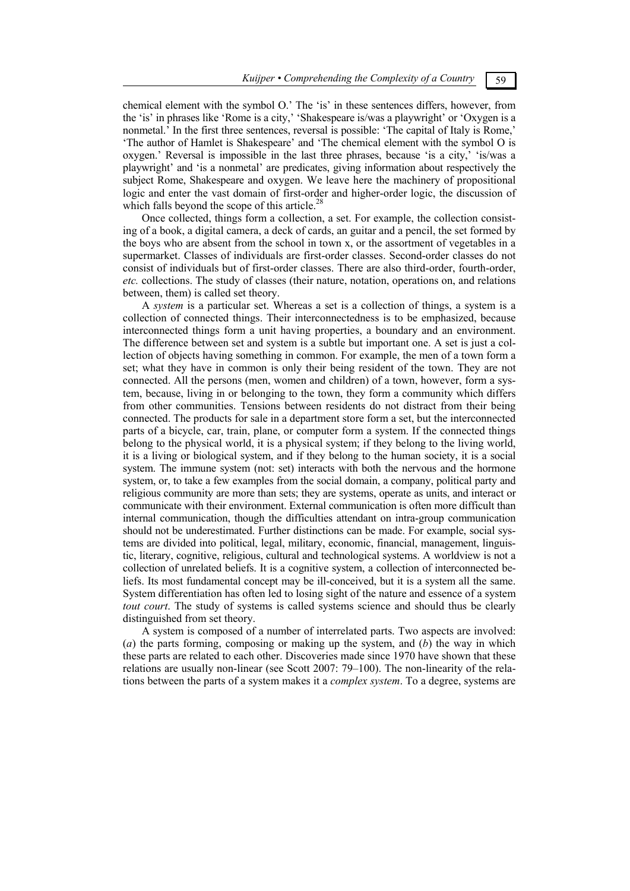chemical element with the symbol O.' The 'is' in these sentences differs, however, from the 'is' in phrases like 'Rome is a city,' 'Shakespeare is/was a playwright' or 'Oxygen is a nonmetal.' In the first three sentences, reversal is possible: 'The capital of Italy is Rome,' 'The author of Hamlet is Shakespeare' and 'The chemical element with the symbol O is oxygen.' Reversal is impossible in the last three phrases, because 'is a city,' 'is/was a playwright' and 'is a nonmetal' are predicates, giving information about respectively the subject Rome, Shakespeare and oxygen. We leave here the machinery of propositional logic and enter the vast domain of first-order and higher-order logic, the discussion of which falls beyond the scope of this article.<sup>28</sup>

Once collected, things form a collection, a set. For example, the collection consisting of a book, a digital camera, a deck of cards, an guitar and a pencil, the set formed by the boys who are absent from the school in town x, or the assortment of vegetables in a supermarket. Classes of individuals are first-order classes. Second-order classes do not consist of individuals but of first-order classes. There are also third-order, fourth-order, *etc.* collections. The study of classes (their nature, notation, operations on, and relations between, them) is called set theory.

A *system* is a particular set. Whereas a set is a collection of things, a system is a collection of connected things. Their interconnectedness is to be emphasized, because interconnected things form a unit having properties, a boundary and an environment. The difference between set and system is a subtle but important one. A set is just a collection of objects having something in common. For example, the men of a town form a set; what they have in common is only their being resident of the town. They are not connected. All the persons (men, women and children) of a town, however, form a system, because, living in or belonging to the town, they form a community which differs from other communities. Tensions between residents do not distract from their being connected. The products for sale in a department store form a set, but the interconnected parts of a bicycle, car, train, plane, or computer form a system. If the connected things belong to the physical world, it is a physical system; if they belong to the living world, it is a living or biological system, and if they belong to the human society, it is a social system. The immune system (not: set) interacts with both the nervous and the hormone system, or, to take a few examples from the social domain, a company, political party and religious community are more than sets; they are systems, operate as units, and interact or communicate with their environment. External communication is often more difficult than internal communication, though the difficulties attendant on intra-group communication should not be underestimated. Further distinctions can be made. For example, social systems are divided into political, legal, military, economic, financial, management, linguistic, literary, cognitive, religious, cultural and technological systems. A worldview is not a collection of unrelated beliefs. It is a cognitive system, a collection of interconnected beliefs. Its most fundamental concept may be ill-conceived, but it is a system all the same. System differentiation has often led to losing sight of the nature and essence of a system *tout court*. The study of systems is called systems science and should thus be clearly distinguished from set theory.

A system is composed of a number of interrelated parts. Two aspects are involved: (*a*) the parts forming, composing or making up the system, and (*b*) the way in which these parts are related to each other. Discoveries made since 1970 have shown that these relations are usually non-linear (see Scott 2007: 79–100). The non-linearity of the relations between the parts of a system makes it a *complex system*. To a degree, systems are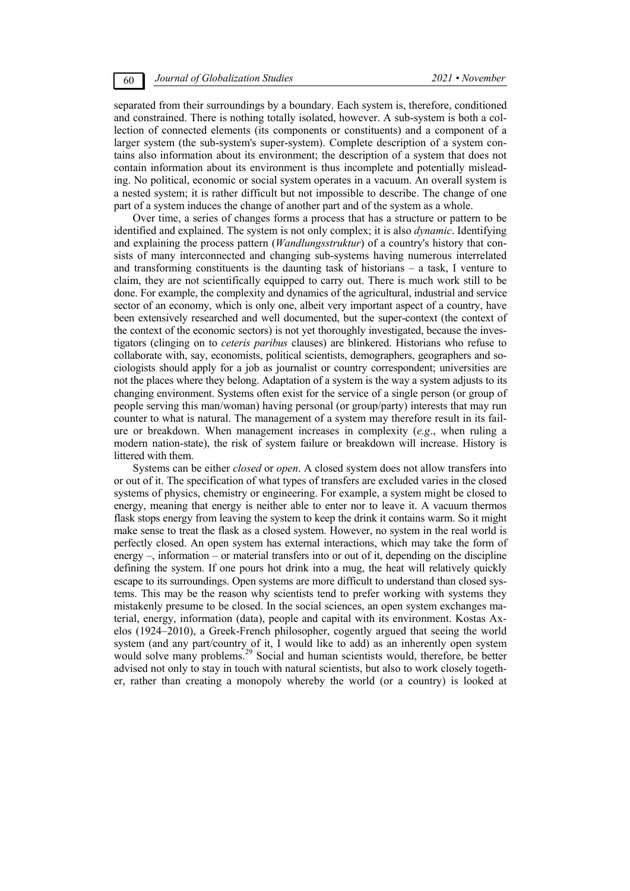separated from their surroundings by a boundary. Each system is, therefore, conditioned and constrained. There is nothing totally isolated, however. A sub-system is both a collection of connected elements (its components or constituents) and a component of a larger system (the sub-system's super-system). Complete description of a system contains also information about its environment; the description of a system that does not contain information about its environment is thus incomplete and potentially misleading. No political, economic or social system operates in a vacuum. An overall system is a nested system; it is rather difficult but not impossible to describe. The change of one part of a system induces the change of another part and of the system as a whole.

Over time, a series of changes forms a process that has a structure or pattern to be identified and explained. The system is not only complex; it is also *dynamic*. Identifying and explaining the process pattern (*Wandlungsstruktur*) of a country's history that consists of many interconnected and changing sub-systems having numerous interrelated and transforming constituents is the daunting task of historians – a task, I venture to claim, they are not scientifically equipped to carry out. There is much work still to be done. For example, the complexity and dynamics of the agricultural, industrial and service sector of an economy, which is only one, albeit very important aspect of a country, have been extensively researched and well documented, but the super-context (the context of the context of the economic sectors) is not yet thoroughly investigated, because the investigators (clinging on to *ceteris paribus* clauses) are blinkered. Historians who refuse to collaborate with, say, economists, political scientists, demographers, geographers and sociologists should apply for a job as journalist or country correspondent; universities are not the places where they belong. Adaptation of a system is the way a system adjusts to its changing environment. Systems often exist for the service of a single person (or group of people serving this man/woman) having personal (or group/party) interests that may run counter to what is natural. The management of a system may therefore result in its failure or breakdown. When management increases in complexity (*e.g*., when ruling a modern nation-state), the risk of system failure or breakdown will increase. History is littered with them.

Systems can be either *closed* or *open*. A closed system does not allow transfers into or out of it. The specification of what types of transfers are excluded varies in the closed systems of physics, chemistry or engineering. For example, a system might be closed to energy, meaning that energy is neither able to enter nor to leave it. A vacuum thermos flask stops energy from leaving the system to keep the drink it contains warm. So it might make sense to treat the flask as a closed system. However, no system in the real world is perfectly closed. An open system has external interactions, which may take the form of energy –, information – or material transfers into or out of it, depending on the discipline defining the system. If one pours hot drink into a mug, the heat will relatively quickly escape to its surroundings. Open systems are more difficult to understand than closed systems. This may be the reason why scientists tend to prefer working with systems they mistakenly presume to be closed. In the social sciences, an open system exchanges material, energy, information (data), people and capital with its environment. Kostas Axelos (1924–2010), a Greek-French philosopher, cogently argued that seeing the world system (and any part/country of it, I would like to add) as an inherently open system would solve many problems.<sup>29</sup> Social and human scientists would, therefore, be better advised not only to stay in touch with natural scientists, but also to work closely together, rather than creating a monopoly whereby the world (or a country) is looked at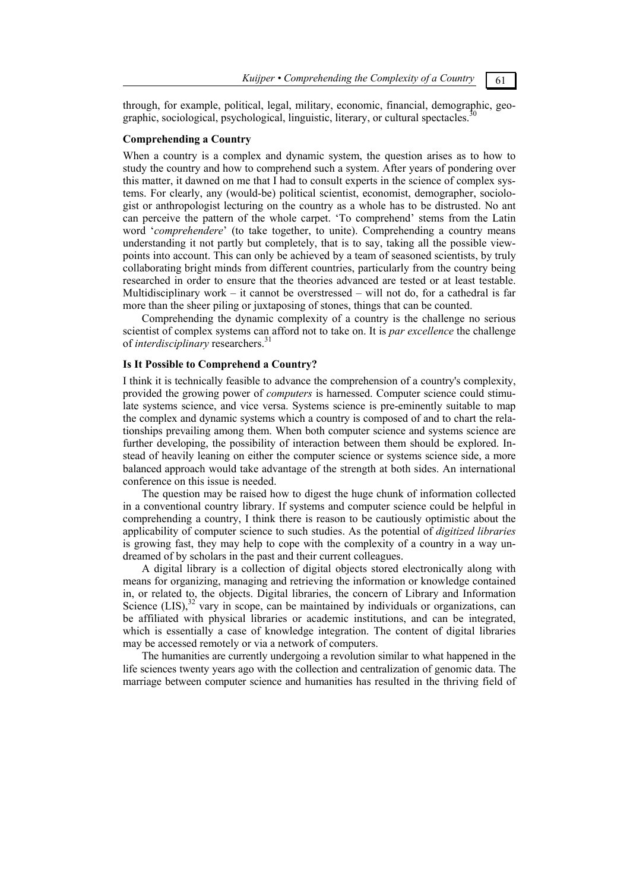through, for example, political, legal, military, economic, financial, demographic, geographic, sociological, psychological, linguistic, literary, or cultural spectacles.<sup>30</sup>

### **Comprehending a Country**

When a country is a complex and dynamic system, the question arises as to how to study the country and how to comprehend such a system. After years of pondering over this matter, it dawned on me that I had to consult experts in the science of complex systems. For clearly, any (would-be) political scientist, economist, demographer, sociologist or anthropologist lecturing on the country as a whole has to be distrusted. No ant can perceive the pattern of the whole carpet. 'To comprehend' stems from the Latin word '*comprehendere*' (to take together, to unite). Comprehending a country means understanding it not partly but completely, that is to say, taking all the possible viewpoints into account. This can only be achieved by a team of seasoned scientists, by truly collaborating bright minds from different countries, particularly from the country being researched in order to ensure that the theories advanced are tested or at least testable. Multidisciplinary work – it cannot be overstressed – will not do, for a cathedral is far more than the sheer piling or juxtaposing of stones, things that can be counted.

Comprehending the dynamic complexity of a country is the challenge no serious scientist of complex systems can afford not to take on. It is *par excellence* the challenge of *interdisciplinary* researchers.<sup>31</sup>

### **Is It Possible to Comprehend a Country?**

I think it is technically feasible to advance the comprehension of a country's complexity, provided the growing power of *computers* is harnessed. Computer science could stimulate systems science, and vice versa. Systems science is pre-eminently suitable to map the complex and dynamic systems which a country is composed of and to chart the relationships prevailing among them. When both computer science and systems science are further developing, the possibility of interaction between them should be explored. Instead of heavily leaning on either the computer science or systems science side, a more balanced approach would take advantage of the strength at both sides. An international conference on this issue is needed.

The question may be raised how to digest the huge chunk of information collected in a conventional country library. If systems and computer science could be helpful in comprehending a country, I think there is reason to be cautiously optimistic about the applicability of computer science to such studies. As the potential of *digitized libraries* is growing fast, they may help to cope with the complexity of a country in a way undreamed of by scholars in the past and their current colleagues.

A digital library is a collection of digital objects stored electronically along with means for organizing, managing and retrieving the information or knowledge contained in, or related to, the objects. Digital libraries, the concern of Library and Information Science  $(LIS)$ ,<sup>32</sup> vary in scope, can be maintained by individuals or organizations, can be affiliated with physical libraries or academic institutions, and can be integrated, which is essentially a case of knowledge integration. The content of digital libraries may be accessed remotely or via a network of computers.

The humanities are currently undergoing a revolution similar to what happened in the life sciences twenty years ago with the collection and centralization of genomic data. The marriage between computer science and humanities has resulted in the thriving field of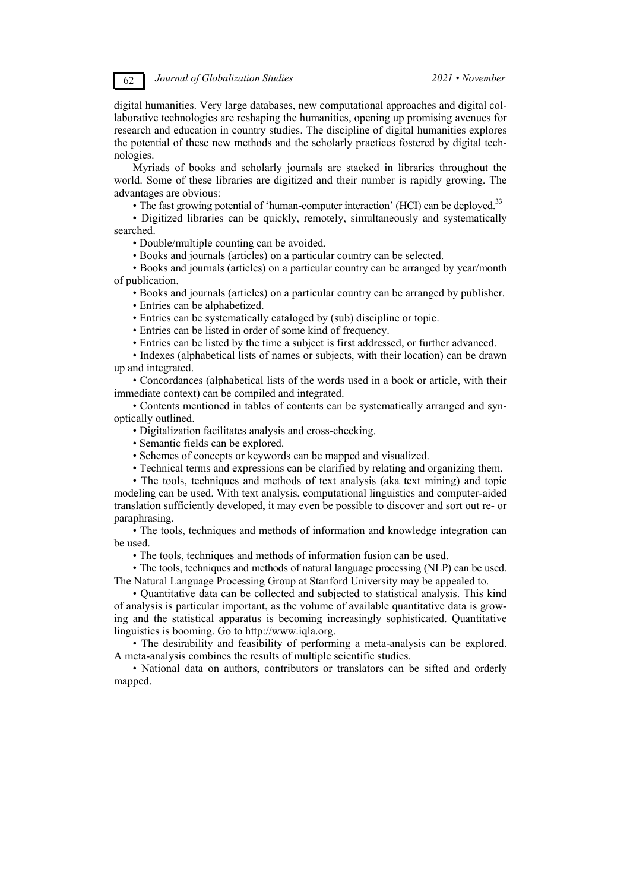digital humanities. Very large databases, new computational approaches and digital collaborative technologies are reshaping the humanities, opening up promising avenues for research and education in country studies. The discipline of digital humanities explores the potential of these new methods and the scholarly practices fostered by digital technologies.

Myriads of books and scholarly journals are stacked in libraries throughout the world. Some of these libraries are digitized and their number is rapidly growing. The advantages are obvious:

• The fast growing potential of 'human-computer interaction' (HCI) can be deployed.<sup>33</sup>

• Digitized libraries can be quickly, remotely, simultaneously and systematically searched.

• Double/multiple counting can be avoided.

• Books and journals (articles) on a particular country can be selected.

• Books and journals (articles) on a particular country can be arranged by year/month of publication.

• Books and journals (articles) on a particular country can be arranged by publisher.

• Entries can be alphabetized.

• Entries can be systematically cataloged by (sub) discipline or topic.

• Entries can be listed in order of some kind of frequency.

• Entries can be listed by the time a subject is first addressed, or further advanced.

• Indexes (alphabetical lists of names or subjects, with their location) can be drawn up and integrated.

• Concordances (alphabetical lists of the words used in a book or article, with their immediate context) can be compiled and integrated.

• Contents mentioned in tables of contents can be systematically arranged and synoptically outlined.

• Digitalization facilitates analysis and cross-checking.

• Semantic fields can be explored.

• Schemes of concepts or keywords can be mapped and visualized.

• Technical terms and expressions can be clarified by relating and organizing them.

• The tools, techniques and methods of text analysis (aka text mining) and topic modeling can be used. With text analysis, computational linguistics and computer-aided translation sufficiently developed, it may even be possible to discover and sort out re- or paraphrasing.

• The tools, techniques and methods of information and knowledge integration can be used.

• The tools, techniques and methods of information fusion can be used.

• The tools, techniques and methods of natural language processing (NLP) can be used. The Natural Language Processing Group at Stanford University may be appealed to.

• Quantitative data can be collected and subjected to statistical analysis. This kind of analysis is particular important, as the volume of available quantitative data is growing and the statistical apparatus is becoming increasingly sophisticated. Quantitative linguistics is booming. Go to http://www.iqla.org.

• The desirability and feasibility of performing a meta-analysis can be explored. A meta-analysis combines the results of multiple scientific studies.

• National data on authors, contributors or translators can be sifted and orderly mapped.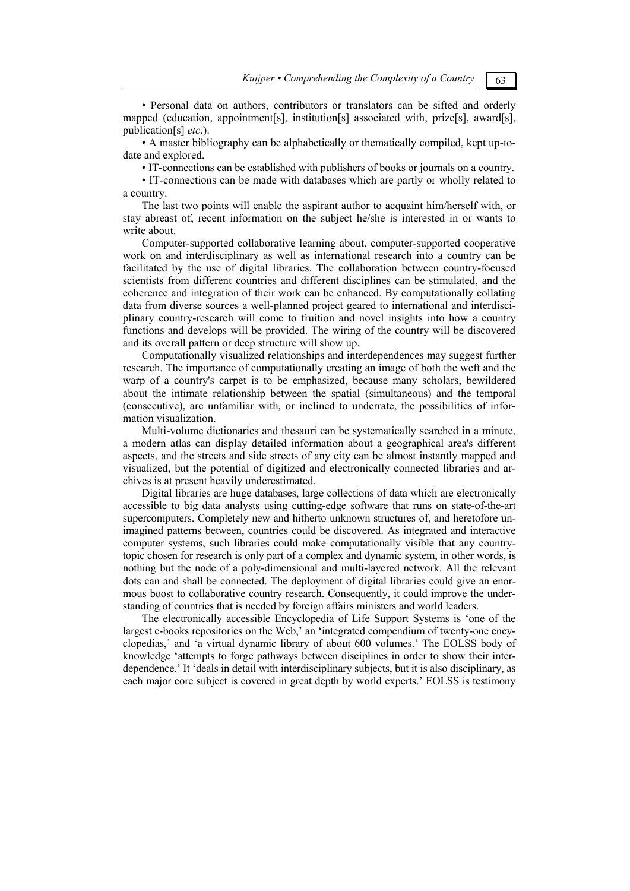• Personal data on authors, contributors or translators can be sifted and orderly mapped (education, appointment[s], institution[s] associated with, prize[s], award[s], publication[s] *etc*.).

• A master bibliography can be alphabetically or thematically compiled, kept up-todate and explored.

• IT-connections can be established with publishers of books or journals on a country.

• IT-connections can be made with databases which are partly or wholly related to a country.

The last two points will enable the aspirant author to acquaint him/herself with, or stay abreast of, recent information on the subject he/she is interested in or wants to write about.

Computer-supported collaborative learning about, computer-supported cooperative work on and interdisciplinary as well as international research into a country can be facilitated by the use of digital libraries. The collaboration between country-focused scientists from different countries and different disciplines can be stimulated, and the coherence and integration of their work can be enhanced. By computationally collating data from diverse sources a well-planned project geared to international and interdisciplinary country-research will come to fruition and novel insights into how a country functions and develops will be provided. The wiring of the country will be discovered and its overall pattern or deep structure will show up.

Computationally visualized relationships and interdependences may suggest further research. The importance of computationally creating an image of both the weft and the warp of a country's carpet is to be emphasized, because many scholars, bewildered about the intimate relationship between the spatial (simultaneous) and the temporal (consecutive), are unfamiliar with, or inclined to underrate, the possibilities of information visualization.

Multi-volume dictionaries and thesauri can be systematically searched in a minute, a modern atlas can display detailed information about a geographical area's different aspects, and the streets and side streets of any city can be almost instantly mapped and visualized, but the potential of digitized and electronically connected libraries and archives is at present heavily underestimated.

Digital libraries are huge databases, large collections of data which are electronically accessible to big data analysts using cutting-edge software that runs on state-of-the-art supercomputers. Completely new and hitherto unknown structures of, and heretofore unimagined patterns between, countries could be discovered. As integrated and interactive computer systems, such libraries could make computationally visible that any countrytopic chosen for research is only part of a complex and dynamic system, in other words, is nothing but the node of a poly-dimensional and multi-layered network. All the relevant dots can and shall be connected. The deployment of digital libraries could give an enormous boost to collaborative country research. Consequently, it could improve the understanding of countries that is needed by foreign affairs ministers and world leaders.

The electronically accessible Encyclopedia of Life Support Systems is 'one of the largest e-books repositories on the Web,' an 'integrated compendium of twenty-one encyclopedias,' and 'a virtual dynamic library of about 600 volumes.' The EOLSS body of knowledge 'attempts to forge pathways between disciplines in order to show their interdependence.' It 'deals in detail with interdisciplinary subjects, but it is also disciplinary, as each major core subject is covered in great depth by world experts.' EOLSS is testimony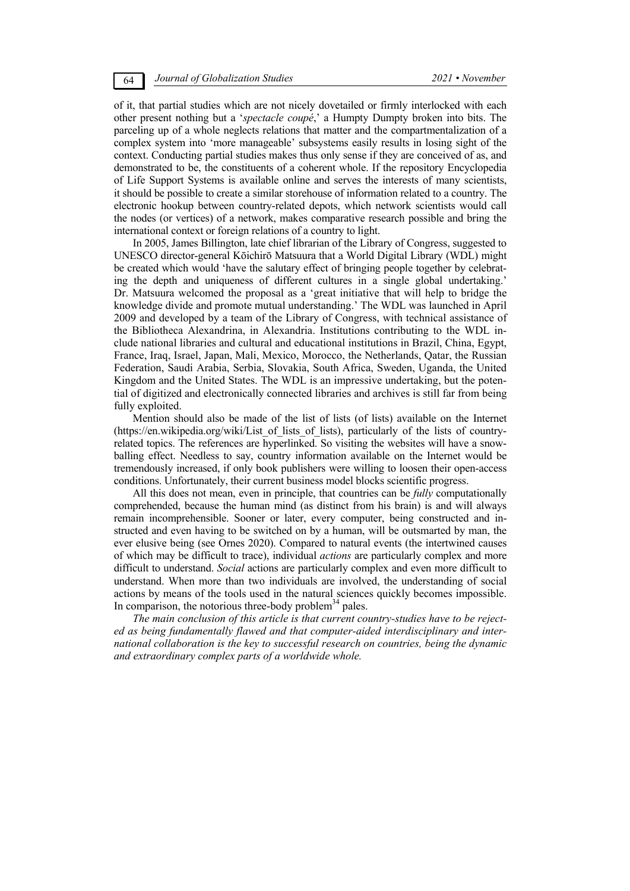of it, that partial studies which are not nicely dovetailed or firmly interlocked with each other present nothing but a '*spectacle coupé*,' a Humpty Dumpty broken into bits. The parceling up of a whole neglects relations that matter and the compartmentalization of a complex system into 'more manageable' subsystems easily results in losing sight of the context. Conducting partial studies makes thus only sense if they are conceived of as, and demonstrated to be, the constituents of a coherent whole. If the repository Encyclopedia of Life Support Systems is available online and serves the interests of many scientists, it should be possible to create a similar storehouse of information related to a country. The electronic hookup between country-related depots, which network scientists would call the nodes (or vertices) of a network, makes comparative research possible and bring the international context or foreign relations of a country to light.

In 2005, James Billington, late chief librarian of the Library of Congress, suggested to UNESCO director-general Kōichirō Matsuura that a World Digital Library (WDL) might be created which would 'have the salutary effect of bringing people together by celebrating the depth and uniqueness of different cultures in a single global undertaking.' Dr. Matsuura welcomed the proposal as a 'great initiative that will help to bridge the knowledge divide and promote mutual understanding.' The WDL was launched in April 2009 and developed by a team of the Library of Congress, with technical assistance of the Bibliotheca Alexandrina, in Alexandria. Institutions contributing to the WDL include national libraries and cultural and educational institutions in Brazil, China, Egypt, France, Iraq, Israel, Japan, Mali, Mexico, Morocco, the Netherlands, Qatar, the Russian Federation, Saudi Arabia, Serbia, Slovakia, South Africa, Sweden, Uganda, the United Kingdom and the United States. The WDL is an impressive undertaking, but the potential of digitized and electronically connected libraries and archives is still far from being fully exploited.

Mention should also be made of the list of lists (of lists) available on the Internet (https://en.wikipedia.org/wiki/List\_of\_lists\_of\_lists), particularly of the lists of countryrelated topics. The references are hyperlinked. So visiting the websites will have a snowballing effect. Needless to say, country information available on the Internet would be tremendously increased, if only book publishers were willing to loosen their open-access conditions. Unfortunately, their current business model blocks scientific progress.

All this does not mean, even in principle, that countries can be *fully* computationally comprehended, because the human mind (as distinct from his brain) is and will always remain incomprehensible. Sooner or later, every computer, being constructed and instructed and even having to be switched on by a human, will be outsmarted by man, the ever elusive being (see Ornes 2020). Compared to natural events (the intertwined causes of which may be difficult to trace), individual *actions* are particularly complex and more difficult to understand. *Social* actions are particularly complex and even more difficult to understand. When more than two individuals are involved, the understanding of social actions by means of the tools used in the natural sciences quickly becomes impossible. In comparison, the notorious three-body problem<sup>34</sup> pales.

*The main conclusion of this article is that current country-studies have to be rejected as being fundamentally flawed and that computer-aided interdisciplinary and international collaboration is the key to successful research on countries, being the dynamic and extraordinary complex parts of a worldwide whole.*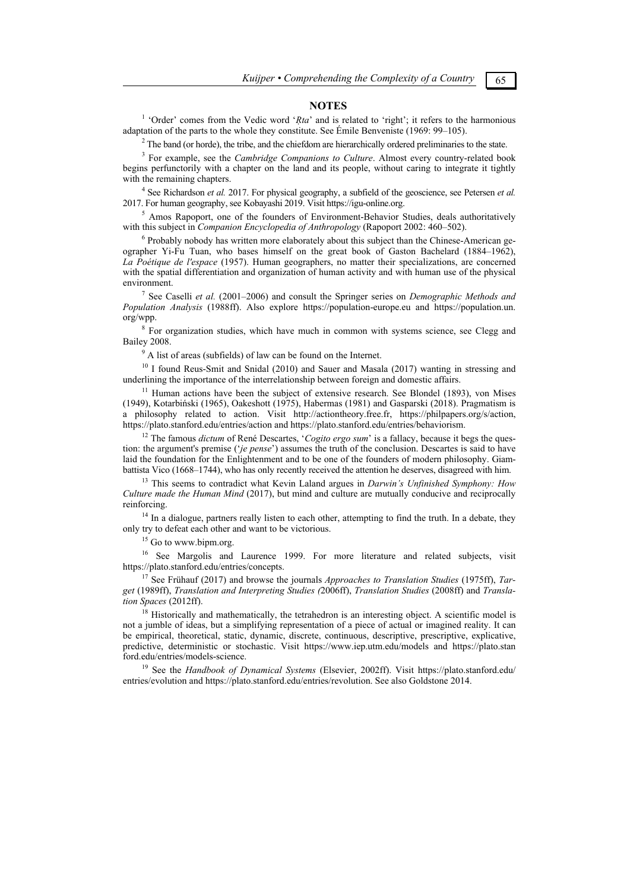#### **NOTES**

<sup>1</sup> 'Order' comes from the Vedic word '*Rta*' and is related to 'right'; it refers to the harmonious adaptation of the parts to the whole they constitute. See Émile Benveniste (1969: 99–105).

 $2$  The band (or horde), the tribe, and the chiefdom are hierarchically ordered preliminaries to the state.

 For example, see the *Cambridge Companions to Culture*. Almost every country-related book begins perfunctorily with a chapter on the land and its people, without caring to integrate it tightly with the remaining chapters.

<sup>4</sup> See Richardson *et al.* 2017. For physical geography, a subfield of the geoscience, see Petersen *et al.* 2017. For human geography, see Kobayashi 2019. Visit https://igu-online.org. 5

<sup>5</sup> Amos Rapoport, one of the founders of Environment-Behavior Studies, deals authoritatively with this subject in *Companion Encyclopedia of Anthropology* (Rapoport 2002: 460–502).

 $6$  Probably nobody has written more elaborately about this subject than the Chinese-American geographer Yi-Fu Tuan, who bases himself on the great book of Gaston Bachelard (1884–1962), *La Poétique de l'espace* (1957). Human geographers, no matter their specializations, are concerned with the spatial differentiation and organization of human activity and with human use of the physical environment.

 See Caselli *et al.* (2001–2006) and consult the Springer series on *Demographic Methods and Population Analysis* (1988ff). Also explore https://population-europe.eu and https://population.un. org/wpp.

<sup>8</sup> For organization studies, which have much in common with systems science, see Clegg and Bailey 2008.

 $9$ <sup>9</sup> A list of areas (subfields) of law can be found on the Internet.

<sup>10</sup> I found Reus-Smit and Snidal (2010) and Sauer and Masala (2017) wanting in stressing and underlining the importance of the interrelationship between foreign and domestic affairs.

 $11$  Human actions have been the subject of extensive research. See Blondel (1893), von Mises (1949), Kotarbiński (1965), Oakeshott (1975), Habermas (1981) and Gasparski (2018). Pragmatism is a philosophy related to action. Visit http://actiontheory.free.fr, https://philpapers.org/s/action, https://plato.stanford.edu/entries/action and https://plato.stanford.edu/entries/behaviorism.

<sup>12</sup> The famous *dictum* of René Descartes, '*Cogito ergo sum*' is a fallacy, because it begs the question: the argument's premise ('*je pense*') assumes the truth of the conclusion. Descartes is said to have laid the foundation for the Enlightenment and to be one of the founders of modern philosophy. Giam-<br>battista Vico (1668–1744), who has only recently received the attention he deserves, disagreed with him.

<sup>13</sup> This seems to contradict what Kevin Laland argues in *Darwin's Unfinished Symphony: How Culture made the Human Mind* (2017), but mind and culture are mutually conducive and reciprocally reinforcing. 14 In a dialogue, partners really listen to each other, attempting to find the truth. In a debate, they

only try to defeat each other and want to be victorious. 15 Go to www.bipm.org.

<sup>16</sup> See Margolis and Laurence 1999. For more literature and related subjects, visit https://plato.stanford.edu/entries/concepts.

<sup>17</sup> See Frühauf (2017) and browse the journals *Approaches to Translation Studies* (1975ff), *Target* (1989ff), *Translation and Interpreting Studies (*2006ff), *Translation Studies* (2008ff) and *Translation Spaces* (2012ff).

<sup>18</sup> Historically and mathematically, the tetrahedron is an interesting object. A scientific model is not a jumble of ideas, but a simplifying representation of a piece of actual or imagined reality. It can be empirical, theoretical, static, dynamic, discrete, continuous, descriptive, prescriptive, explicative, predictive, deterministic or stochastic. Visit https://www.iep.utm.edu/models and https://plato.stan ford.edu/entries/models-science. 19 See the *Handbook of Dynamical Systems* (Elsevier, 2002ff). Visit https://plato.stanford.edu/

entries/evolution and https://plato.stanford.edu/entries/revolution. See also Goldstone 2014.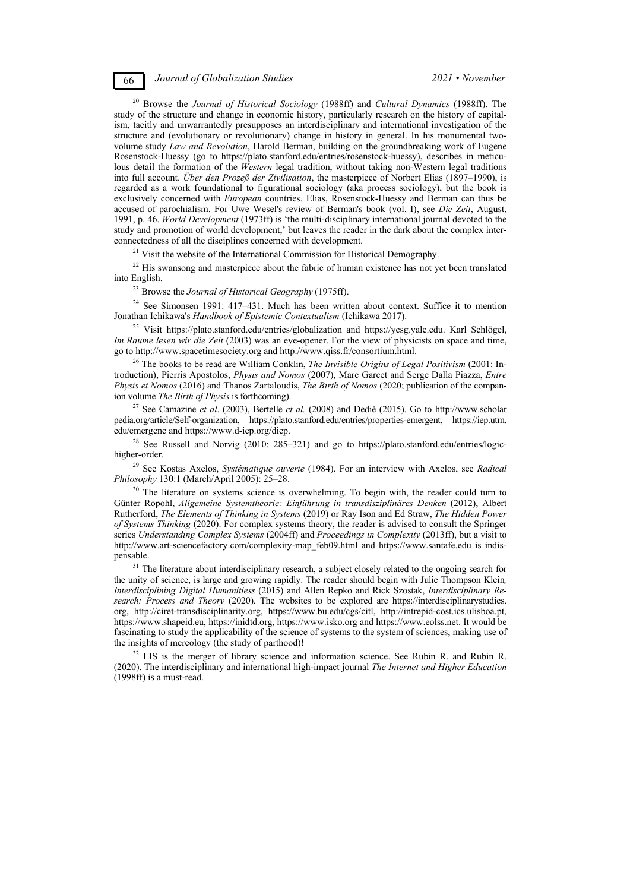20 Browse the *Journal of Historical Sociology* (1988ff) and *Cultural Dynamics* (1988ff). The study of the structure and change in economic history, particularly research on the history of capitalism, tacitly and unwarrantedly presupposes an interdisciplinary and international investigation of the structure and (evolutionary or revolutionary) change in history in general. In his monumental twovolume study *Law and Revolution*, Harold Berman, building on the groundbreaking work of Eugene Rosenstock-Huessy (go to https://plato.stanford.edu/entries/rosenstock-huessy), describes in meticulous detail the formation of the *Western* legal tradition, without taking non-Western legal traditions into full account. *Über den Prozeß der Zivilisation*, the masterpiece of Norbert Elias (1897–1990), is regarded as a work foundational to figurational sociology (aka process sociology), but the book is exclusively concerned with *European* countries. Elias, Rosenstock-Huessy and Berman can thus be accused of parochialism. For Uwe Wesel's review of Berman's book (vol. I), see *Die Zeit*, August, 1991, p. 46. *World Development* (1973ff) is 'the multi-disciplinary international journal devoted to the study and promotion of world development,' but leaves the reader in the dark about the complex inter-<br>connectedness of all the disciplines concerned with development.

<sup>21</sup> Visit the website of the International Commission for Historical Demography.<br><sup>22</sup> His swansong and masterpiece about the fabric of human existence has not yet been translated

<sup>23</sup> Browse the *Journal of Historical Geography* (1975ff).<br><sup>24</sup> See Simonsen 1991: 417–431. Much has been written about context. Suffice it to mention<br>Jonathan Ichikawa's *Handbook of Epistemic Contextualism* (Ichikawa 20

<sup>25</sup> Visit https://plato.stanford.edu/entries/globalization and https://ycsg.yale.edu. Karl Schlögel, *Im Raume lesen wir die Zeit* (2003) was an eye-opener. For the view of physicists on space and time, go to http://www.spacetimesociety.org and http://www.qiss.fr/consortium.html.

<sup>26</sup> The books to be read are William Conklin, *The Invisible Origins of Legal Positivism* (2001: Introduction), Pierris Apostolos, *Physis and Nomos* (2007), Marc Garcet and Serge Dalla Piazza, *Entre Physis et Nomos* (2016) and Thanos Zartaloudis, *The Birth of Nomos* (2020; publication of the compan-

<sup>27</sup> See Camazine *et al.* (2003), Bertelle *et al.* (2008) and Dedié (2015). Go to http://www.scholar pedia.org/article/Self-organization, https://plato.stanford.edu/entries/properties-emergent, https://iep.utm. edu/emergenc and https://www.d-iep.org/diep.<br><sup>28</sup> See Russell and Norvig (2010: 285–321) and go to https://plato.stanford.edu/entries/logic-

higher-order.<br><sup>29</sup> See Kostas Axelos, *Systématique ouverte* (1984). For an interview with Axelos, see *Radical Philosophy* 130:1 (March/April 2005): 25–28.

<sup>30</sup> The literature on systems science is overwhelming. To begin with, the reader could turn to Günter Ropohl, *Allgemeine Systemtheorie: Einführung in transdisziplinäres Denken* (2012), Albert Rutherford, *The Elements of Thinking in Systems* (2019) or Ray Ison and Ed Straw, *The Hidden Power of Systems Thinking* (2020). For complex systems theory, the reader is advised to consult the Springer series *Understanding Complex Systems* (2004ff) and *Proceedings in Complexity* (2013ff), but a visit to http://www.art-sciencefactory.com/complexity-map\_feb09.html and https://www.santafe.edu is indispensable. 31 The literature about interdisciplinary research, a subject closely related to the ongoing search for

the unity of science, is large and growing rapidly. The reader should begin with Julie Thompson Klein*, Interdisciplining Digital Humanitiess* (2015) and Allen Repko and Rick Szostak, *Interdisciplinary Research: Process and Theory* (2020). The websites to be explored are https://interdisciplinarystudies. org, http://ciret-transdisciplinarity.org, https://www.bu.edu/cgs/citl, http://intrepid-cost.ics.ulisboa.pt, https://www.shapeid.eu, https://inidtd.org, https://www.isko.org and https://www.eolss.net. It would be fascinating to study the applicability of the science of systems to the system of sciences, making use of the insights of mereology (the study of parthood)!

 $32$  LIS is the merger of library science and information science. See Rubin R. and Rubin R. (2020). The interdisciplinary and international high-impact journal *The Internet and Higher Education* (1998ff) is a must-read.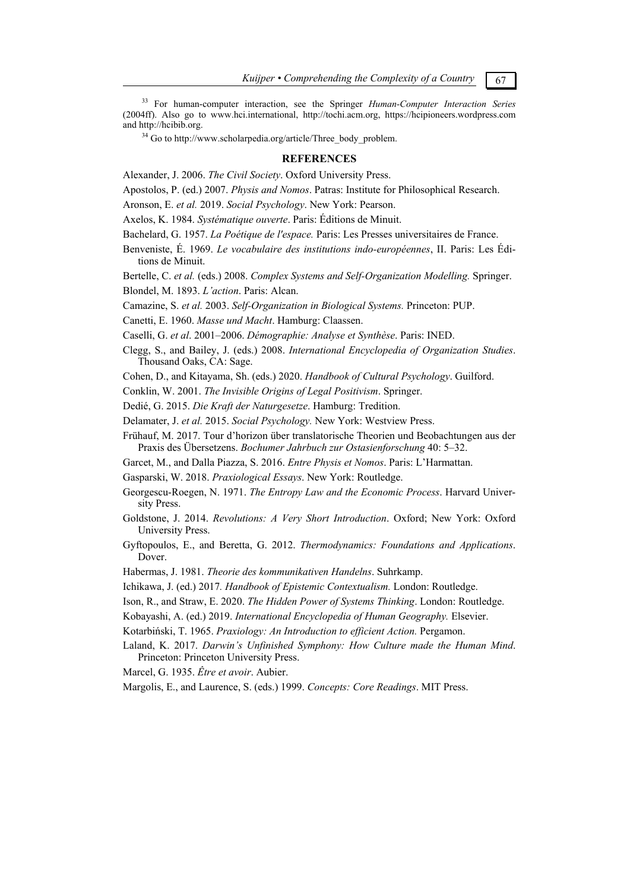33 For human-computer interaction, see the Springer *Human-Computer Interaction Series* (2004ff). Also go to www.hci.international, http://tochi.acm.org, https://hcipioneers.wordpress.com and http://hcibib.org.<br><sup>34</sup> Go to http://www.scholarpedia.org/article/Three\_body\_problem.

## **REFERENCES**

Alexander, J. 2006. *The Civil Society*. Oxford University Press.

Apostolos, P. (ed.) 2007. *Physis and Nomos*. Patras: Institute for Philosophical Research.

Aronson, E. *et al.* 2019. *Social Psychology*. New York: Pearson.

Axelos, K. 1984. *Systématique ouverte*. Paris: Éditions de Minuit.

Bachelard, G. 1957. *La Poétique de l'espace.* Paris: Les Presses universitaires de France.

Benveniste, É. 1969. *Le vocabulaire des institutions indo-européennes*, II. Paris: Les Éditions de Minuit.

Bertelle, C. *et al.* (eds.) 2008. *Complex Systems and Self-Organization Modelling.* Springer. Blondel, M. 1893. *L'action*. Paris: Alcan.

Camazine, S. *et al.* 2003. *Self-Organization in Biological Systems.* Princeton: PUP.

Canetti, E. 1960. *Masse und Macht*. Hamburg: Claassen.

Caselli, G. *et al*. 2001–2006. *Démographie: Analyse et Synthèse*. Paris: INED.

Clegg, S., and Bailey, J. (eds.) 2008. *International Encyclopedia of Organization Studies*. Thousand Oaks, CA: Sage.

Cohen, D., and Kitayama, Sh. (eds.) 2020. *Handbook of Cultural Psychology*. Guilford.

Conklin, W. 2001. *The Invisible Origins of Legal Positivism*. Springer.

Dedié, G. 2015. *Die Kraft der Naturgesetze*. Hamburg: Tredition.

Delamater, J. *et al.* 2015. *Social Psychology.* New York: Westview Press.

Frühauf, M. 2017. Tour d'horizon über translatorische Theorien und Beobachtungen aus der Praxis des Übersetzens. *Bochumer Jahrbuch zur Ostasienforschung* 40: 5–32.

Garcet, M., and Dalla Piazza, S. 2016. *Entre Physis et Nomos*. Paris: L'Harmattan.

Gasparski, W. 2018. *Praxiological Essays*. New York: Routledge.

Georgescu-Roegen, N. 1971. *The Entropy Law and the Economic Process*. Harvard University Press.

Goldstone, J. 2014. *Revolutions: A Very Short Introduction*. Oxford; New York: Oxford University Press.

Gyftopoulos, E., and Beretta, G. 2012. *Thermodynamics: Foundations and Applications*. Dover.

Habermas, J. 1981. *Theorie des kommunikativen Handelns*. Suhrkamp.

Ichikawa, J. (ed.) 2017*. Handbook of Epistemic Contextualism.* London: Routledge.

Ison, R., and Straw, E. 2020. *The Hidden Power of Systems Thinking*. London: Routledge.

Kobayashi, A. (ed.) 2019. *International Encyclopedia of Human Geography.* Elsevier.

Kotarbiński, T. 1965. *Praxiology: An Introduction to efficient Action.* Pergamon.

Laland, K. 2017. *Darwin's Unfinished Symphony: How Culture made the Human Mind*. Princeton: Princeton University Press.

Marcel, G. 1935. *Être et avoir*. Aubier.

Margolis, E., and Laurence, S. (eds.) 1999. *Concepts: Core Readings*. MIT Press.